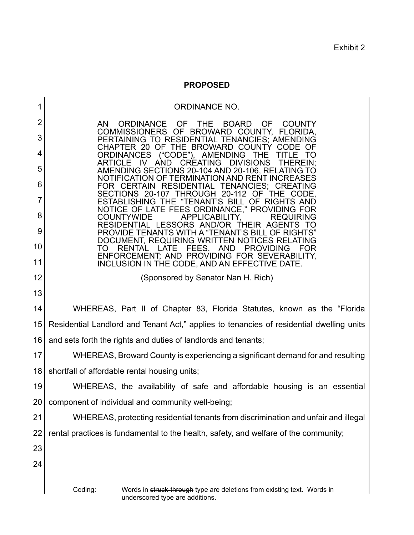Exhibit 2

## **PROPOSED**

# ORDINANCE NO. AN ORDINANCE OF THE BOARD OF COUNTY COMMISSIONERS OF BROWARD COUNTY, FLORIDA, PERTAINING TO RESIDENTIAL TENANCIES; AMENDING CHAPTER 20 OF THE BROWARD COUNTY CODE OF<br>ORDINANCES ("CODE"), AMENDING THE TITLE TO ("CODE"), AMENDING THE TITLE TO<br>AND CREATING DIVISIONS THEREIN; ARTICLE IV AMENDING SECTIONS 20-104 AND 20-106, RELATING TO NOTIFICATION OF TERMINATION AND RENT INCREASES FOR CERTAIN RESIDENTIAL TENANCIES; CREATING<br>SECTIONS 20-107 THROUGH 20-112 OF THE CODE. ESTABLISHING THE "TENANT'S BILL OF RIGHTS AND NOTICE OF LATE FEES ORDINANCE," PROVIDING FOR<br>COUNTYWIDE APPLICABILITY. REQUIRING APPLICABILITY, REQUIRING RESIDENTIAL LESSORS AND/OR THEIR AGENTS TO PROVIDE TENANTS WITH A "TENANT'S BILL OF RIGHTS" DOCUMENT, REQUIRING WRITTEN NOTICES RELATING **PROVIDING** ENFORCEMENT; AND PROVIDING FOR SEVERABILITY, INCLUSION IN THE CODE, AND AN EFFECTIVE DATE. (Sponsored by Senator Nan H. Rich) WHEREAS, Part II of Chapter 83, Florida Statutes, known as the "Florida

15 16 Residential Landlord and Tenant Act," applies to tenancies of residential dwelling units and sets forth the rights and duties of landlords and tenants;

17 18 WHEREAS, Broward County is experiencing a significant demand for and resulting shortfall of affordable rental housing units;

19 20 WHEREAS, the availability of safe and affordable housing is an essential component of individual and community well-being;

21 22 WHEREAS, protecting residential tenants from discrimination and unfair and illegal rental practices is fundamental to the health, safety, and welfare of the community;

23 24

1

2

3

4

5

6

7

8

9

10

11

12

13

14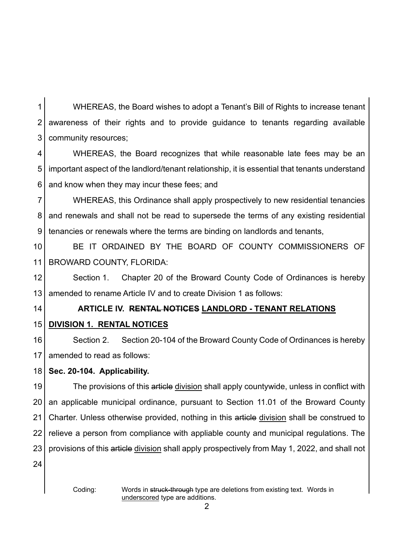1 2 3 WHEREAS, the Board wishes to adopt a Tenant's Bill of Rights to increase tenant awareness of their rights and to provide guidance to tenants regarding available community resources;

4 5 6 WHEREAS, the Board recognizes that while reasonable late fees may be an important aspect of the landlord/tenant relationship, it is essential that tenants understand and know when they may incur these fees; and

7 8 9 WHEREAS, this Ordinance shall apply prospectively to new residential tenancies and renewals and shall not be read to supersede the terms of any existing residential tenancies or renewals where the terms are binding on landlords and tenants,

10 11 BE IT ORDAINED BY THE BOARD OF COUNTY COMMISSIONERS OF BROWARD COUNTY, FLORIDA:

12 13 Section 1. Chapter 20 of the Broward County Code of Ordinances is hereby amended to rename Article IV and to create Division 1 as follows:

14

# **ARTICLE IV. RENTAL NOTICES LANDLORD - TENANT RELATIONS**

15 **DIVISION 1. RENTAL NOTICES**

16 17 Section 2. Section 20-104 of the Broward County Code of Ordinances is hereby amended to read as follows:

#### 18 **Sec. 20-104. Applicability.**

19 20 21 22 23 The provisions of this article division shall apply countywide, unless in conflict with an applicable municipal ordinance, pursuant to Section 11.01 of the Broward County Charter. Unless otherwise provided, nothing in this article division shall be construed to relieve a person from compliance with appliable county and municipal regulations. The provisions of this article division shall apply prospectively from May 1, 2022, and shall not

24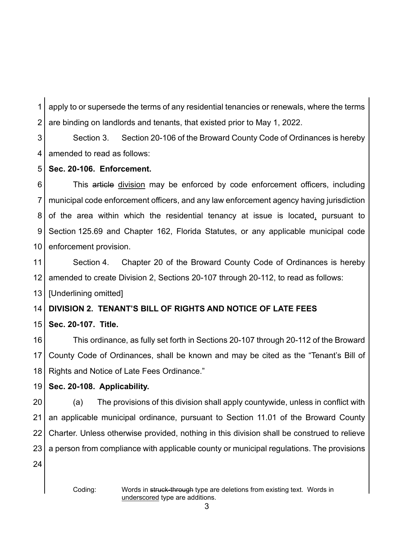1 2 apply to or supersede the terms of any residential tenancies or renewals, where the terms are binding on landlords and tenants, that existed prior to May 1, 2022.

3 4 Section 3. Section 20-106 of the Broward County Code of Ordinances is hereby amended to read as follows:

#### 5 **Sec. 20-106. Enforcement.**

6 7 8 9 10 This article division may be enforced by code enforcement officers, including municipal code enforcement officers, and any law enforcement agency having jurisdiction of the area within which the residential tenancy at issue is located, pursuant to Section 125.69 and Chapter 162, Florida Statutes, or any applicable municipal code enforcement provision.

11 12 Section 4. Chapter 20 of the Broward County Code of Ordinances is hereby amended to create Division 2, Sections 20-107 through 20-112, to read as follows:

13 [Underlining omitted]

#### 14 **DIVISION 2. TENANT'S BILL OF RIGHTS AND NOTICE OF LATE FEES**

15 **Sec. 20-107. Title.**

16 17 18 This ordinance, as fully set forth in Sections 20-107 through 20-112 of the Broward County Code of Ordinances, shall be known and may be cited as the "Tenant's Bill of Rights and Notice of Late Fees Ordinance."

#### 19 **Sec. 20-108. Applicability.**

20 21 22 23 (a) The provisions of this division shall apply countywide, unless in conflict with an applicable municipal ordinance, pursuant to Section 11.01 of the Broward County Charter. Unless otherwise provided, nothing in this division shall be construed to relieve a person from compliance with applicable county or municipal regulations. The provisions

24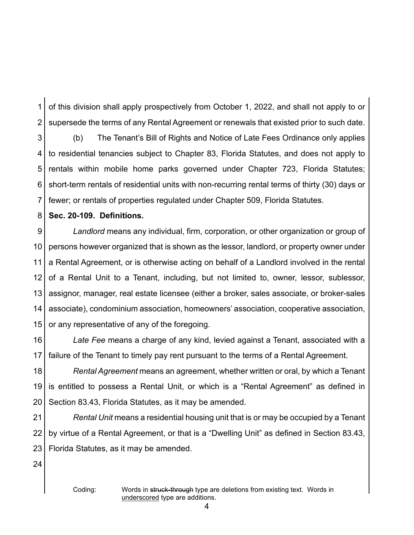1 2 of this division shall apply prospectively from October 1, 2022, and shall not apply to or supersede the terms of any Rental Agreement or renewals that existed prior to such date.

3 4 5 6 7 (b) The Tenant's Bill of Rights and Notice of Late Fees Ordinance only applies to residential tenancies subject to Chapter 83, Florida Statutes, and does not apply to rentals within mobile home parks governed under Chapter 723, Florida Statutes; short-term rentals of residential units with non-recurring rental terms of thirty (30) days or fewer; or rentals of properties regulated under Chapter 509, Florida Statutes.

#### 8 **Sec. 20-109. Definitions.**

9 10 11 12 13 14 15 *Landlord* means any individual, firm, corporation, or other organization or group of persons however organized that is shown as the lessor, landlord, or property owner under a Rental Agreement, or is otherwise acting on behalf of a Landlord involved in the rental of a Rental Unit to a Tenant, including, but not limited to, owner, lessor, sublessor, assignor, manager, real estate licensee (either a broker, sales associate, or broker-sales associate), condominium association, homeowners' association, cooperative association, or any representative of any of the foregoing.

16 17 *Late Fee* means a charge of any kind, levied against a Tenant, associated with a failure of the Tenant to timely pay rent pursuant to the terms of a Rental Agreement.

18 19 20 *Rental Agreement* means an agreement, whether written or oral, by which a Tenant is entitled to possess a Rental Unit, or which is a "Rental Agreement" as defined in Section 83.43, Florida Statutes, as it may be amended.

21 22 23 *Rental Unit* means a residential housing unit that is or may be occupied by a Tenant by virtue of a Rental Agreement, or that is a "Dwelling Unit" as defined in Section 83.43, Florida Statutes, as it may be amended.

24

Coding: Words in struck-through type are deletions from existing text. Words in underscored type are additions.

4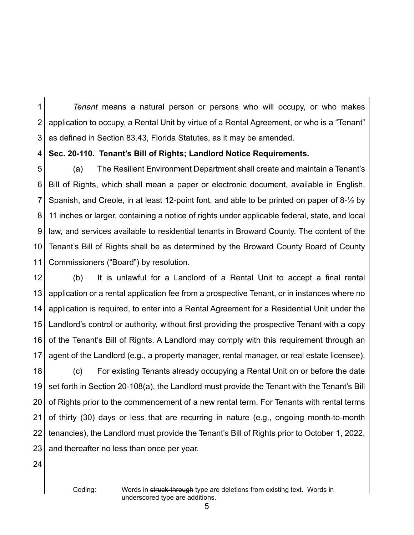1 2 3 *Tenant* means a natural person or persons who will occupy, or who makes application to occupy, a Rental Unit by virtue of a Rental Agreement, or who is a "Tenant" as defined in Section 83.43, Florida Statutes, as it may be amended.

4 **Sec. 20-110. Tenant's Bill of Rights; Landlord Notice Requirements.**

5 6 7 8 9 10 11 (a) The Resilient Environment Department shall create and maintain a Tenant's Bill of Rights, which shall mean a paper or electronic document, available in English, Spanish, and Creole, in at least 12-point font, and able to be printed on paper of 8-½ by 11 inches or larger, containing a notice of rights under applicable federal, state, and local law, and services available to residential tenants in Broward County. The content of the Tenant's Bill of Rights shall be as determined by the Broward County Board of County Commissioners ("Board") by resolution.

12 13 14 15 16 17 (b) It is unlawful for a Landlord of a Rental Unit to accept a final rental application or a rental application fee from a prospective Tenant, or in instances where no application is required, to enter into a Rental Agreement for a Residential Unit under the Landlord's control or authority, without first providing the prospective Tenant with a copy of the Tenant's Bill of Rights. A Landlord may comply with this requirement through an agent of the Landlord (e.g., a property manager, rental manager, or real estate licensee).

18 19 20 21 22 23 (c) For existing Tenants already occupying a Rental Unit on or before the date set forth in Section 20-108(a), the Landlord must provide the Tenant with the Tenant's Bill of Rights prior to the commencement of a new rental term. For Tenants with rental terms of thirty (30) days or less that are recurring in nature (e.g., ongoing month-to-month tenancies), the Landlord must provide the Tenant's Bill of Rights prior to October 1, 2022, and thereafter no less than once per year.

24

Coding: Words in struck-through type are deletions from existing text. Words in underscored type are additions.

5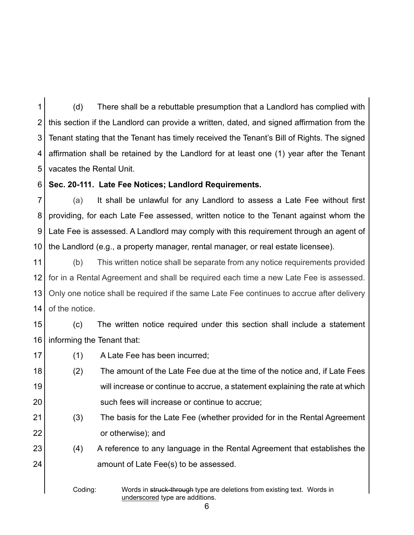1 2 3 4 5 (d) There shall be a rebuttable presumption that a Landlord has complied with this section if the Landlord can provide a written, dated, and signed affirmation from the Tenant stating that the Tenant has timely received the Tenant's Bill of Rights. The signed affirmation shall be retained by the Landlord for at least one (1) year after the Tenant vacates the Rental Unit.

6 **Sec. 20-111. Late Fee Notices; Landlord Requirements.**

7 8 9 10 (a) It shall be unlawful for any Landlord to assess a Late Fee without first providing, for each Late Fee assessed, written notice to the Tenant against whom the Late Fee is assessed. A Landlord may comply with this requirement through an agent of the Landlord (e.g., a property manager, rental manager, or real estate licensee).

11 12 13 14 (b) This written notice shall be separate from any notice requirements provided for in a Rental Agreement and shall be required each time a new Late Fee is assessed. Only one notice shall be required if the same Late Fee continues to accrue after delivery of the notice.

15 16 (c) The written notice required under this section shall include a statement informing the Tenant that:

- 17 (1) A Late Fee has been incurred;
- 18 19 20 (2) The amount of the Late Fee due at the time of the notice and, if Late Fees will increase or continue to accrue, a statement explaining the rate at which such fees will increase or continue to accrue;
- 21 22 (3) The basis for the Late Fee (whether provided for in the Rental Agreement or otherwise); and
- 23 24 (4) A reference to any language in the Rental Agreement that establishes the amount of Late Fee(s) to be assessed.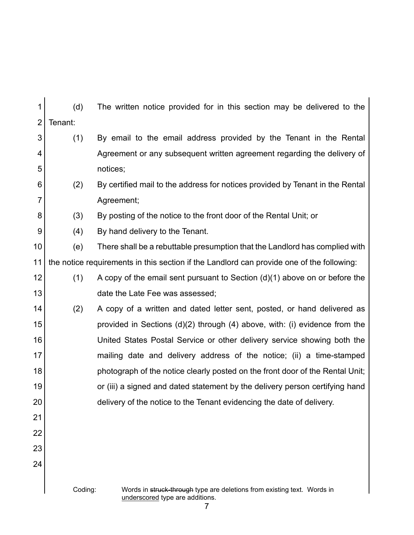| 1              | (d)                                                                                                                   | The written notice provided for in this section may be delivered to the                   |  |
|----------------|-----------------------------------------------------------------------------------------------------------------------|-------------------------------------------------------------------------------------------|--|
| $\overline{2}$ | Tenant:                                                                                                               |                                                                                           |  |
| 3              | (1)                                                                                                                   | By email to the email address provided by the Tenant in the Rental                        |  |
| 4              |                                                                                                                       | Agreement or any subsequent written agreement regarding the delivery of                   |  |
| 5              |                                                                                                                       | notices;                                                                                  |  |
| 6              | (2)                                                                                                                   | By certified mail to the address for notices provided by Tenant in the Rental             |  |
| 7              |                                                                                                                       | Agreement;                                                                                |  |
| 8              | (3)                                                                                                                   | By posting of the notice to the front door of the Rental Unit; or                         |  |
| 9              | (4)                                                                                                                   | By hand delivery to the Tenant.                                                           |  |
| 10             | (e)                                                                                                                   | There shall be a rebuttable presumption that the Landlord has complied with               |  |
| 11             |                                                                                                                       | the notice requirements in this section if the Landlord can provide one of the following: |  |
| 12             | (1)                                                                                                                   | A copy of the email sent pursuant to Section $(d)(1)$ above on or before the              |  |
| 13             |                                                                                                                       | date the Late Fee was assessed;                                                           |  |
| 14             | (2)                                                                                                                   | A copy of a written and dated letter sent, posted, or hand delivered as                   |  |
| 15             |                                                                                                                       | provided in Sections $(d)(2)$ through $(4)$ above, with: (i) evidence from the            |  |
| 16             |                                                                                                                       | United States Postal Service or other delivery service showing both the                   |  |
| 17             |                                                                                                                       | mailing date and delivery address of the notice; (ii) a time-stamped                      |  |
| 18             |                                                                                                                       | photograph of the notice clearly posted on the front door of the Rental Unit;             |  |
| 19             |                                                                                                                       | or (iii) a signed and dated statement by the delivery person certifying hand              |  |
| 20             |                                                                                                                       | delivery of the notice to the Tenant evidencing the date of delivery.                     |  |
| 21             |                                                                                                                       |                                                                                           |  |
| 22             |                                                                                                                       |                                                                                           |  |
| 23             |                                                                                                                       |                                                                                           |  |
| 24             |                                                                                                                       |                                                                                           |  |
|                |                                                                                                                       |                                                                                           |  |
|                | Coding:<br>Words in struck-through type are deletions from existing text. Words in<br>underscored type are additions. |                                                                                           |  |

7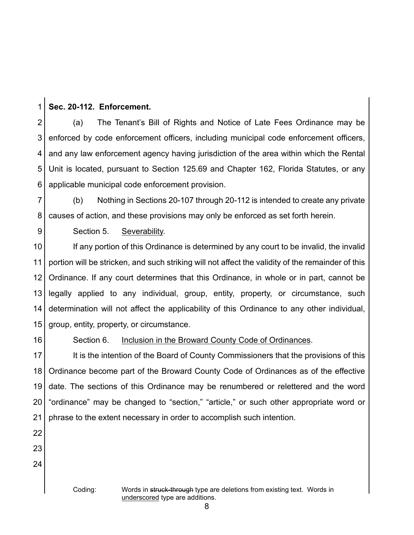1 **Sec. 20-112. Enforcement.**

2 3 4 5 6 (a) The Tenant's Bill of Rights and Notice of Late Fees Ordinance may be enforced by code enforcement officers, including municipal code enforcement officers, and any law enforcement agency having jurisdiction of the area within which the Rental Unit is located, pursuant to Section 125.69 and Chapter 162, Florida Statutes, or any applicable municipal code enforcement provision.

7 8 (b) Nothing in Sections 20-107 through 20-112 is intended to create any private causes of action, and these provisions may only be enforced as set forth herein.

Section 5. Severability.

10 11 12 13 14 15 If any portion of this Ordinance is determined by any court to be invalid, the invalid portion will be stricken, and such striking will not affect the validity of the remainder of this Ordinance. If any court determines that this Ordinance, in whole or in part, cannot be legally applied to any individual, group, entity, property, or circumstance, such determination will not affect the applicability of this Ordinance to any other individual, group, entity, property, or circumstance.

16

9

## Section 6. Inclusion in the Broward County Code of Ordinances.

17 18 19 20 21 It is the intention of the Board of County Commissioners that the provisions of this Ordinance become part of the Broward County Code of Ordinances as of the effective date. The sections of this Ordinance may be renumbered or relettered and the word "ordinance" may be changed to "section," "article," or such other appropriate word or phrase to the extent necessary in order to accomplish such intention.

22 23

24